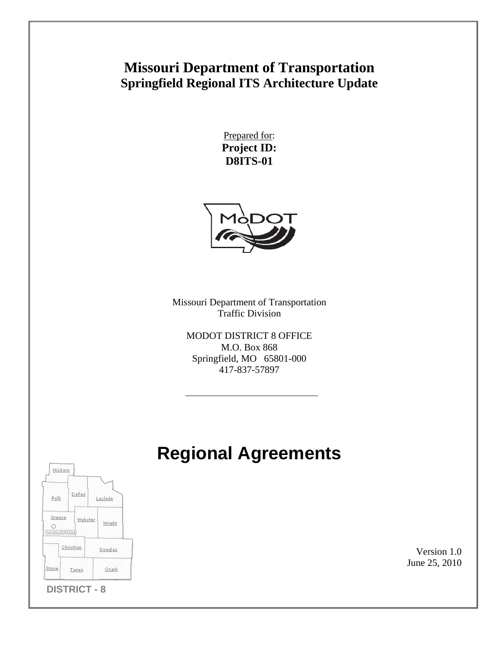# **Missouri Department of Transportation Springfield Regional ITS Architecture Update**

Prepared for: **Project ID: D8ITS-01** 



Missouri Department of Transportation Traffic Division

MODOT DISTRICT 8 OFFICE M.O. Box 868 Springfield, MO 65801-000 417-837-57897

# **Regional Agreements**



Version 1.0 June 25, 2010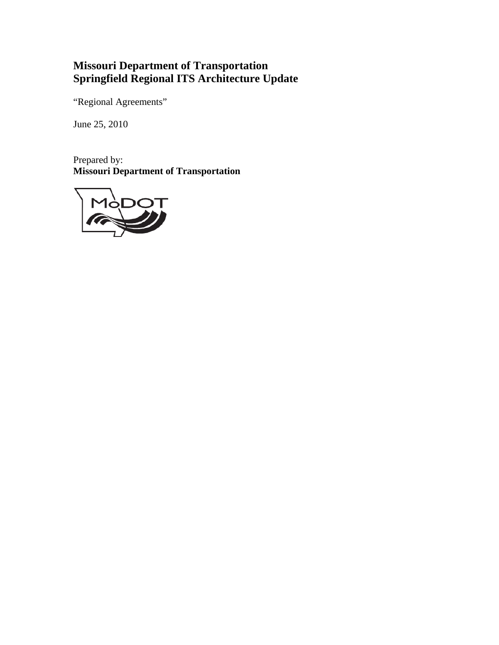## **Missouri Department of Transportation Springfield Regional ITS Architecture Update**

"Regional Agreements"

June 25, 2010

Prepared by: **Missouri Department of Transportation** 

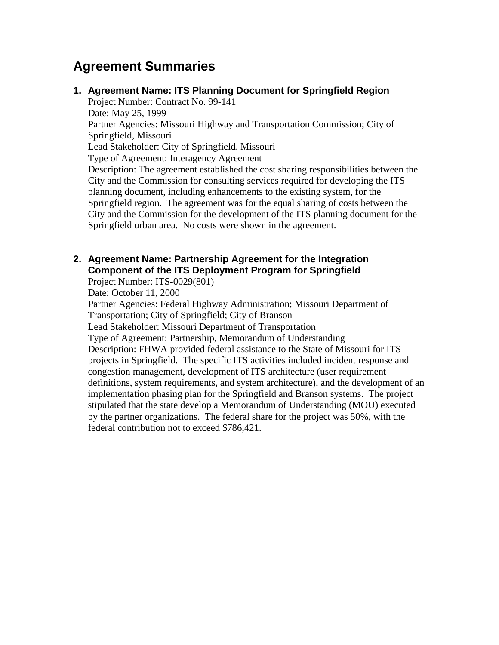## **Agreement Summaries**

**1. Agreement Name: ITS Planning Document for Springfield Region**  Project Number: Contract No. 99-141 Date: May 25, 1999 Partner Agencies: Missouri Highway and Transportation Commission; City of Springfield, Missouri Lead Stakeholder: City of Springfield, Missouri Type of Agreement: Interagency Agreement Description: The agreement established the cost sharing responsibilities between the City and the Commission for consulting services required for developing the ITS planning document, including enhancements to the existing system, for the Springfield region. The agreement was for the equal sharing of costs between the City and the Commission for the development of the ITS planning document for the Springfield urban area. No costs were shown in the agreement.

### **2. Agreement Name: Partnership Agreement for the Integration Component of the ITS Deployment Program for Springfield**

Project Number: ITS-0029(801)

Date: October 11, 2000

Partner Agencies: Federal Highway Administration; Missouri Department of Transportation; City of Springfield; City of Branson Lead Stakeholder: Missouri Department of Transportation

Type of Agreement: Partnership, Memorandum of Understanding Description: FHWA provided federal assistance to the State of Missouri for ITS projects in Springfield. The specific ITS activities included incident response and congestion management, development of ITS architecture (user requirement definitions, system requirements, and system architecture), and the development of an implementation phasing plan for the Springfield and Branson systems. The project stipulated that the state develop a Memorandum of Understanding (MOU) executed by the partner organizations. The federal share for the project was 50%, with the federal contribution not to exceed \$786,421.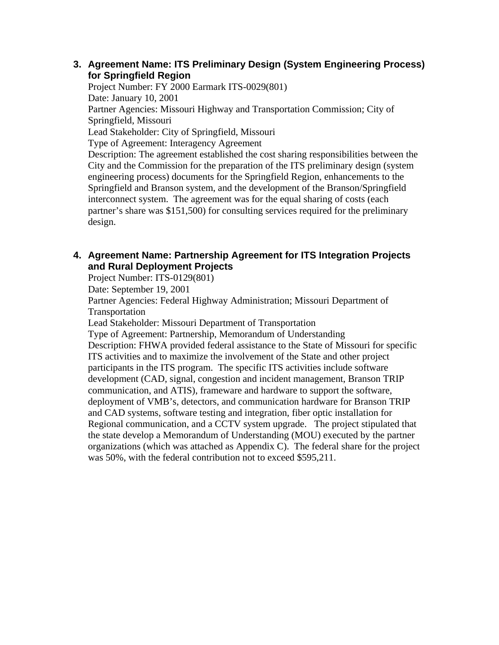#### **3. Agreement Name: ITS Preliminary Design (System Engineering Process) for Springfield Region**

Project Number: FY 2000 Earmark ITS-0029(801) Date: January 10, 2001 Partner Agencies: Missouri Highway and Transportation Commission; City of Springfield, Missouri Lead Stakeholder: City of Springfield, Missouri Type of Agreement: Interagency Agreement Description: The agreement established the cost sharing responsibilities between the City and the Commission for the preparation of the ITS preliminary design (system engineering process) documents for the Springfield Region, enhancements to the Springfield and Branson system, and the development of the Branson/Springfield interconnect system. The agreement was for the equal sharing of costs (each partner's share was \$151,500) for consulting services required for the preliminary design.

#### **4. Agreement Name: Partnership Agreement for ITS Integration Projects and Rural Deployment Projects**

Project Number: ITS-0129(801)

Date: September 19, 2001

Partner Agencies: Federal Highway Administration; Missouri Department of Transportation

Lead Stakeholder: Missouri Department of Transportation

Type of Agreement: Partnership, Memorandum of Understanding Description: FHWA provided federal assistance to the State of Missouri for specific ITS activities and to maximize the involvement of the State and other project participants in the ITS program. The specific ITS activities include software development (CAD, signal, congestion and incident management, Branson TRIP communication, and ATIS), frameware and hardware to support the software, deployment of VMB's, detectors, and communication hardware for Branson TRIP and CAD systems, software testing and integration, fiber optic installation for Regional communication, and a CCTV system upgrade. The project stipulated that the state develop a Memorandum of Understanding (MOU) executed by the partner organizations (which was attached as Appendix C). The federal share for the project was 50%, with the federal contribution not to exceed \$595,211.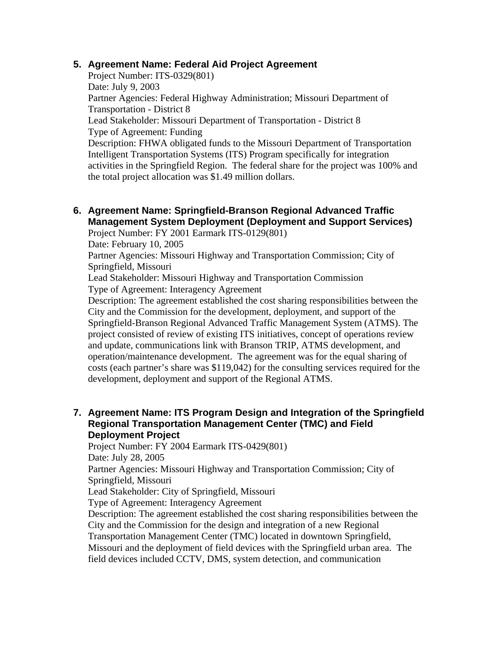#### **5. Agreement Name: Federal Aid Project Agreement**

Project Number: ITS-0329(801) Date: July 9, 2003 Partner Agencies: Federal Highway Administration; Missouri Department of Transportation - District 8 Lead Stakeholder: Missouri Department of Transportation - District 8 Type of Agreement: Funding

Description: FHWA obligated funds to the Missouri Department of Transportation Intelligent Transportation Systems (ITS) Program specifically for integration activities in the Springfield Region. The federal share for the project was 100% and the total project allocation was \$1.49 million dollars.

**6. Agreement Name: Springfield-Branson Regional Advanced Traffic Management System Deployment (Deployment and Support Services)** 

Project Number: FY 2001 Earmark ITS-0129(801)

Date: February 10, 2005

Partner Agencies: Missouri Highway and Transportation Commission; City of Springfield, Missouri

Lead Stakeholder: Missouri Highway and Transportation Commission Type of Agreement: Interagency Agreement

Description: The agreement established the cost sharing responsibilities between the City and the Commission for the development, deployment, and support of the Springfield-Branson Regional Advanced Traffic Management System (ATMS). The project consisted of review of existing ITS initiatives, concept of operations review and update, communications link with Branson TRIP, ATMS development, and operation/maintenance development. The agreement was for the equal sharing of costs (each partner's share was \$119,042) for the consulting services required for the development, deployment and support of the Regional ATMS.

#### **7. Agreement Name: ITS Program Design and Integration of the Springfield Regional Transportation Management Center (TMC) and Field Deployment Project**

Project Number: FY 2004 Earmark ITS-0429(801)

Date: July 28, 2005

Partner Agencies: Missouri Highway and Transportation Commission; City of Springfield, Missouri

Lead Stakeholder: City of Springfield, Missouri

Type of Agreement: Interagency Agreement

Description: The agreement established the cost sharing responsibilities between the City and the Commission for the design and integration of a new Regional

Transportation Management Center (TMC) located in downtown Springfield,

Missouri and the deployment of field devices with the Springfield urban area. The field devices included CCTV, DMS, system detection, and communication